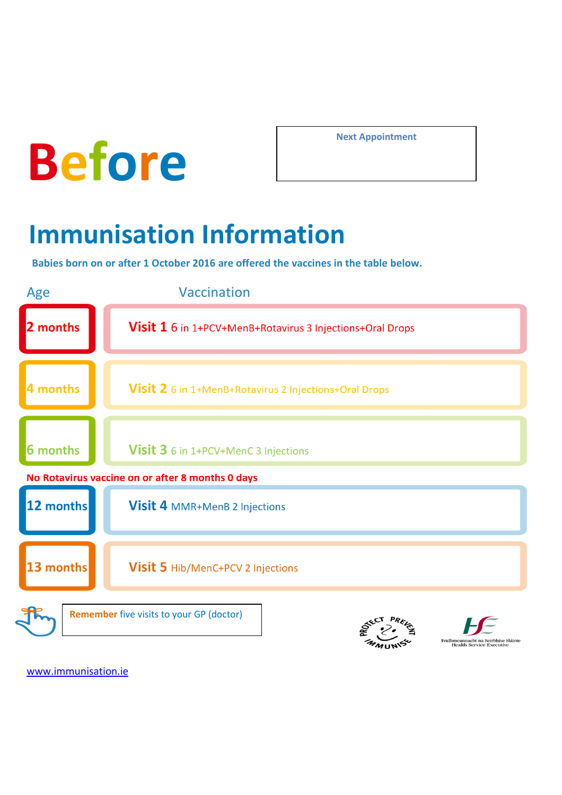# **Before**

**Next Appointment**

## **Immunisation Information**

**Babies born on or after 1 October 2016 are offered the vaccines in the table below.**



www.immunisation.ie